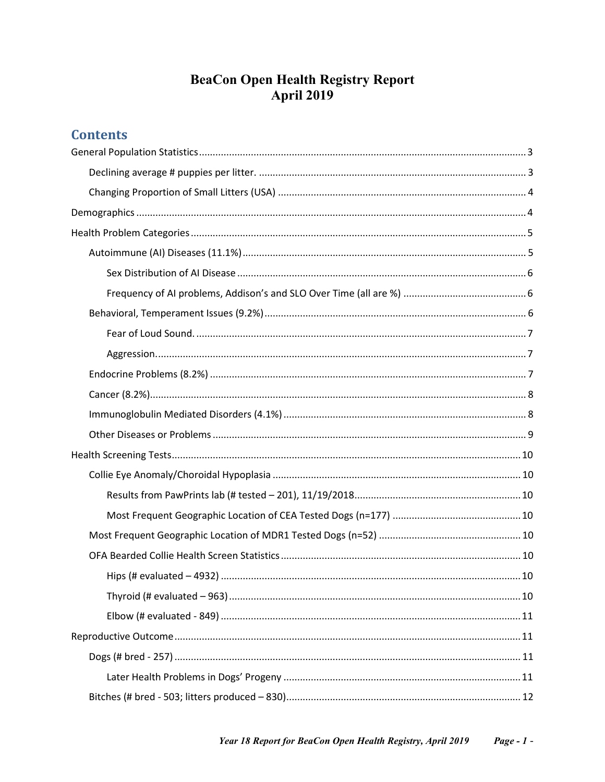# **BeaCon Open Health Registry Report April 2019**

# **Contents**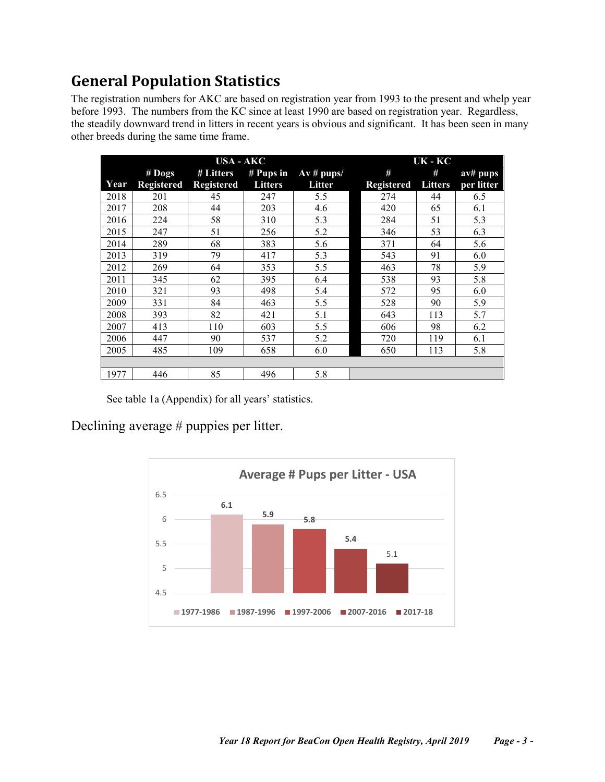# <span id="page-2-0"></span>**General Population Statistics**

The registration numbers for AKC are based on registration year from 1993 to the present and whelp year before 1993. The numbers from the KC since at least 1990 are based on registration year. Regardless, the steadily downward trend in litters in recent years is obvious and significant. It has been seen in many other breeds during the same time frame.

| USA - AKC |                   |                   |                | UK - KC                 |                   |                |            |
|-----------|-------------------|-------------------|----------------|-------------------------|-------------------|----------------|------------|
|           | $#$ Dogs          | # Litters         | $#$ Pups in    | $\overline{Av}$ # pups/ | #                 | #              | av# pups   |
| Year      | <b>Registered</b> | <b>Registered</b> | <b>Litters</b> | Litter                  | <b>Registered</b> | <b>Litters</b> | per litter |
| 2018      | 201               | 45                | 247            | 5.5                     | 274               | 44             | 6.5        |
| 2017      | 208               | 44                | 203            | 4.6                     | 420               | 65             | 6.1        |
| 2016      | 224               | 58                | 310            | 5.3                     | 284               | 51             | 5.3        |
| 2015      | 247               | 51                | 256            | 5.2                     | 346               | 53             | 6.3        |
| 2014      | 289               | 68                | 383            | 5.6                     | 371               | 64             | 5.6        |
| 2013      | 319               | 79                | 417            | 5.3                     | 543               | 91             | 6.0        |
| 2012      | 269               | 64                | 353            | 5.5                     | 463               | 78             | 5.9        |
| 2011      | 345               | 62                | 395            | 6.4                     | 538               | 93             | 5.8        |
| 2010      | 321               | 93                | 498            | 5.4                     | 572               | 95             | 6.0        |
| 2009      | 331               | 84                | 463            | 5.5                     | 528               | 90             | 5.9        |
| 2008      | 393               | 82                | 421            | 5.1                     | 643               | 113            | 5.7        |
| 2007      | 413               | 110               | 603            | 5.5                     | 606               | 98             | 6.2        |
| 2006      | 447               | 90                | 537            | 5.2                     | 720               | 119            | 6.1        |
| 2005      | 485               | 109               | 658            | 6.0                     | 650               | 113            | 5.8        |
|           |                   |                   |                |                         |                   |                |            |
| 1977      | 446               | 85                | 496            | 5.8                     |                   |                |            |

See table 1a (Appendix) for all years' statistics.

<span id="page-2-1"></span>Declining average # puppies per litter.

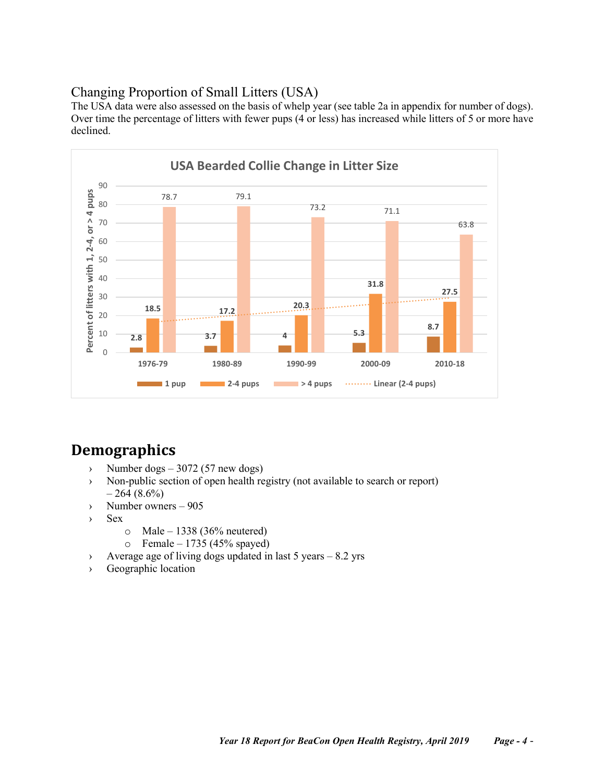# <span id="page-3-0"></span>Changing Proportion of Small Litters (USA)

The USA data were also assessed on the basis of whelp year (see table 2a in appendix for number of dogs). Over time the percentage of litters with fewer pups (4 or less) has increased while litters of 5 or more have declined.



# <span id="page-3-1"></span>**Demographics**

- $\rightarrow$  Number dogs 3072 (57 new dogs)
- › Non-public section of open health registry (not available to search or report)  $-264(8.6\%)$
- › Number owners 905
- › Sex
	- $\circ$  Male 1338 (36% neutered)
	- $\circ$  Female 1735 (45% spayed)
- › Average age of living dogs updated in last 5 years 8.2 yrs
- › Geographic location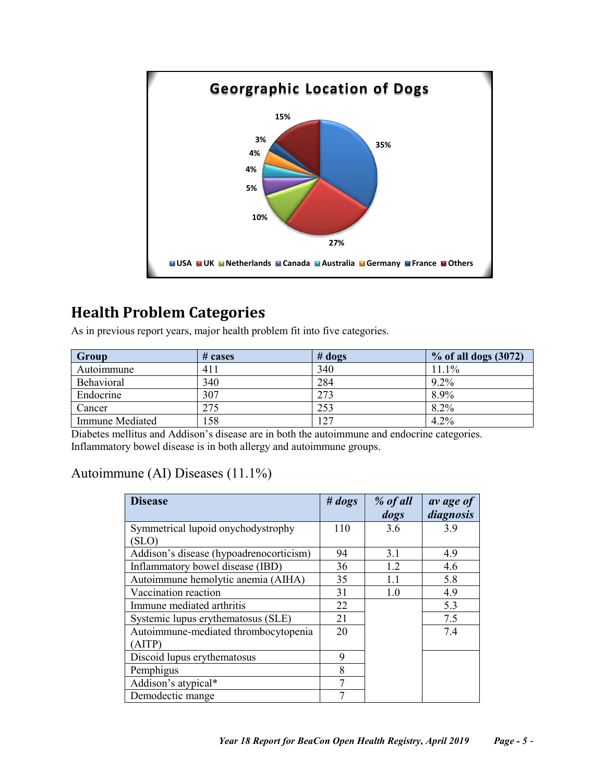

# <span id="page-4-0"></span>**Health Problem Categories**

As in previous report years, major health problem fit into five categories.

| Group                  | # cases | $#$ dogs | $\%$ of all dogs $(3072)$ |
|------------------------|---------|----------|---------------------------|
| Autoimmune             | 411     | 340      | $11.1\%$                  |
| Behavioral             | 340     | 284      | $9.2\%$                   |
| Endocrine              | 307     | 273      | 8.9%                      |
| Cancer                 | 275     | 253      | $8.2\%$                   |
| <b>Immune Mediated</b> | 158     | 127      | 4.2%                      |

Diabetes mellitus and Addison's disease are in both the autoimmune and endocrine categories. Inflammatory bowel disease is in both allergy and autoimmune groups.

# <span id="page-4-1"></span>Autoimmune (AI) Diseases (11.1%)

| <b>Disease</b>                          | # <i>dogs</i> | % of all<br>dogs | av age of<br>diagnosis |
|-----------------------------------------|---------------|------------------|------------------------|
| Symmetrical lupoid onychodystrophy      | 110           | 3.6              | 3.9                    |
| (SLO)                                   |               |                  |                        |
| Addison's disease (hypoadrenocorticism) | 94            | 3.1              | 4.9                    |
| Inflammatory bowel disease (IBD)        | 36            | 12               | 4.6                    |
| Autoimmune hemolytic anemia (AIHA)      | 35            | 1.1              | 5.8                    |
| Vaccination reaction                    | 31            | 1.0              | 4.9                    |
| Immune mediated arthritis               | 22            |                  | 5.3                    |
| Systemic lupus erythematosus (SLE)      | 21            |                  | 7.5                    |
| Autoimmune-mediated thrombocytopenia    | 20            |                  | 7.4                    |
| (AITP)                                  |               |                  |                        |
| Discoid lupus erythematosus             | 9             |                  |                        |
| Pemphigus                               | 8             |                  |                        |
| Addison's atypical*                     | 7             |                  |                        |
| Demodectic mange                        |               |                  |                        |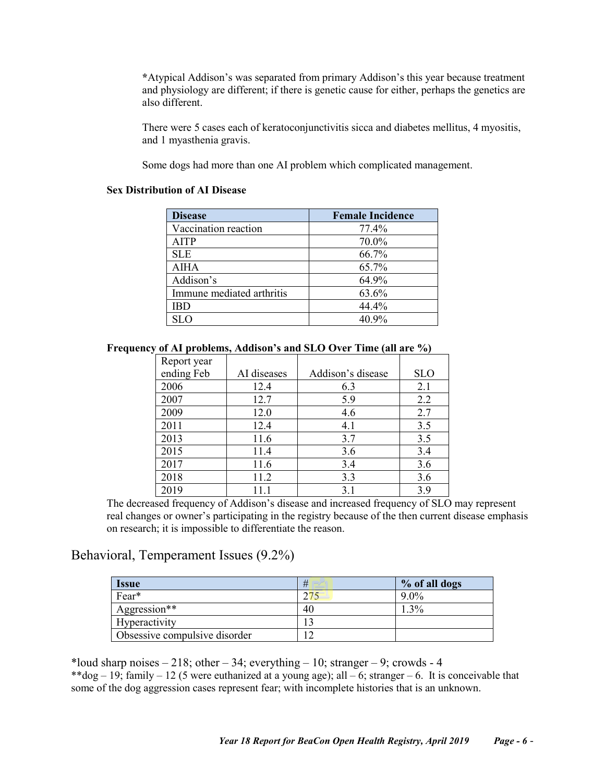**\***Atypical Addison's was separated from primary Addison's this year because treatment and physiology are different; if there is genetic cause for either, perhaps the genetics are also different.

There were 5 cases each of keratoconjunctivitis sicca and diabetes mellitus, 4 myositis, and 1 myasthenia gravis.

Some dogs had more than one AI problem which complicated management.

#### <span id="page-5-0"></span>**Sex Distribution of AI Disease**

| <b>Disease</b>            | <b>Female Incidence</b> |
|---------------------------|-------------------------|
| Vaccination reaction      | 77.4%                   |
| <b>AITP</b>               | 70.0%                   |
| <b>SLE</b>                | 66.7%                   |
| <b>AIHA</b>               | 65.7%                   |
| Addison's                 | 64.9%                   |
| Immune mediated arthritis | 63.6%                   |
|                           | 44.4%                   |
|                           | 40.9%                   |

<span id="page-5-1"></span>**Frequency of AI problems, Addison's and SLO Over Time (all are %)**

| Report year |             |                   |            |
|-------------|-------------|-------------------|------------|
| ending Feb  | AI diseases | Addison's disease | <b>SLO</b> |
| 2006        | 12.4        | 6.3               | 2.1        |
| 2007        | 12.7        | 5.9               | 2.2        |
| 2009        | 12.0        | 4.6               | 2.7        |
| 2011        | 12.4        | 4.1               | 3.5        |
| 2013        | 11.6        | 3.7               | 3.5        |
| 2015        | 11.4        | 3.6               | 3.4        |
| 2017        | 11.6        | 3.4               | 3.6        |
| 2018        | 11.2        | 3.3               | 3.6        |
| 2019        |             | 3.1               | 3.9        |

The decreased frequency of Addison's disease and increased frequency of SLO may represent real changes or owner's participating in the registry because of the then current disease emphasis on research; it is impossible to differentiate the reason.

### <span id="page-5-2"></span>Behavioral, Temperament Issues (9.2%)

| <i><u><b>Issue</b></u></i>    | #   | % of all dogs |
|-------------------------------|-----|---------------|
| Fear*                         | 275 | $9.0\%$       |
| Aggression**                  | 40  | 3%            |
| Hyperactivity                 |     |               |
| Obsessive compulsive disorder |     |               |

\*loud sharp noises  $-218$ ; other  $-34$ ; everything  $-10$ ; stranger  $-9$ ; crowds  $-4$ \*\*dog – 19; family – 12 (5 were euthanized at a young age); all – 6; stranger – 6. It is conceivable that some of the dog aggression cases represent fear; with incomplete histories that is an unknown.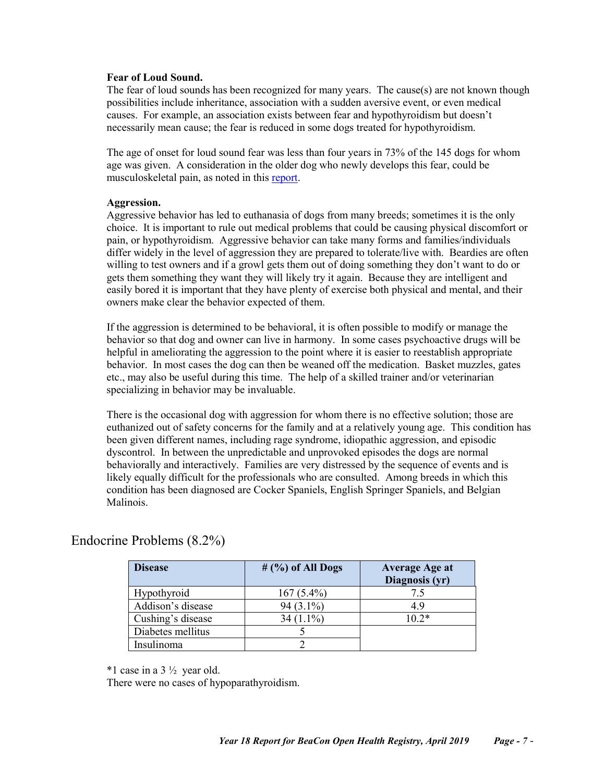#### <span id="page-6-0"></span>**Fear of Loud Sound.**

The fear of loud sounds has been recognized for many years. The cause(s) are not known though possibilities include inheritance, association with a sudden aversive event, or even medical causes. For example, an association exists between fear and hypothyroidism but doesn't necessarily mean cause; the fear is reduced in some dogs treated for hypothyroidism.

The age of onset for loud sound fear was less than four years in 73% of the 145 dogs for whom age was given. A consideration in the older dog who newly develops this fear, could be musculoskeletal pain, as noted in this [report.](https://www.frontiersin.org/articles/10.3389/fvets.2018.00017/full)

#### <span id="page-6-1"></span>**Aggression.**

Aggressive behavior has led to euthanasia of dogs from many breeds; sometimes it is the only choice. It is important to rule out medical problems that could be causing physical discomfort or pain, or hypothyroidism. Aggressive behavior can take many forms and families/individuals differ widely in the level of aggression they are prepared to tolerate/live with. Beardies are often willing to test owners and if a growl gets them out of doing something they don't want to do or gets them something they want they will likely try it again. Because they are intelligent and easily bored it is important that they have plenty of exercise both physical and mental, and their owners make clear the behavior expected of them.

If the aggression is determined to be behavioral, it is often possible to modify or manage the behavior so that dog and owner can live in harmony. In some cases psychoactive drugs will be helpful in ameliorating the aggression to the point where it is easier to reestablish appropriate behavior. In most cases the dog can then be weaned off the medication. Basket muzzles, gates etc., may also be useful during this time. The help of a skilled trainer and/or veterinarian specializing in behavior may be invaluable.

There is the occasional dog with aggression for whom there is no effective solution; those are euthanized out of safety concerns for the family and at a relatively young age. This condition has been given different names, including rage syndrome, idiopathic aggression, and episodic dyscontrol. In between the unpredictable and unprovoked episodes the dogs are normal behaviorally and interactively. Families are very distressed by the sequence of events and is likely equally difficult for the professionals who are consulted. Among breeds in which this condition has been diagnosed are Cocker Spaniels, English Springer Spaniels, and Belgian Malinois.

| <b>Disease</b>    | $#$ (%) of All Dogs | <b>Average Age at</b><br>Diagnosis (yr) |
|-------------------|---------------------|-----------------------------------------|
| Hypothyroid       | $167(5.4\%)$        | 7.5                                     |
| Addison's disease | $94(3.1\%)$         | 4.9                                     |
| Cushing's disease | $34(1.1\%)$         | $10.2*$                                 |
| Diabetes mellitus |                     |                                         |
| Insulinoma        |                     |                                         |

# <span id="page-6-2"></span>Endocrine Problems (8.2%)

 $*1$  case in a 3  $\frac{1}{2}$  year old.

There were no cases of hypoparathyroidism.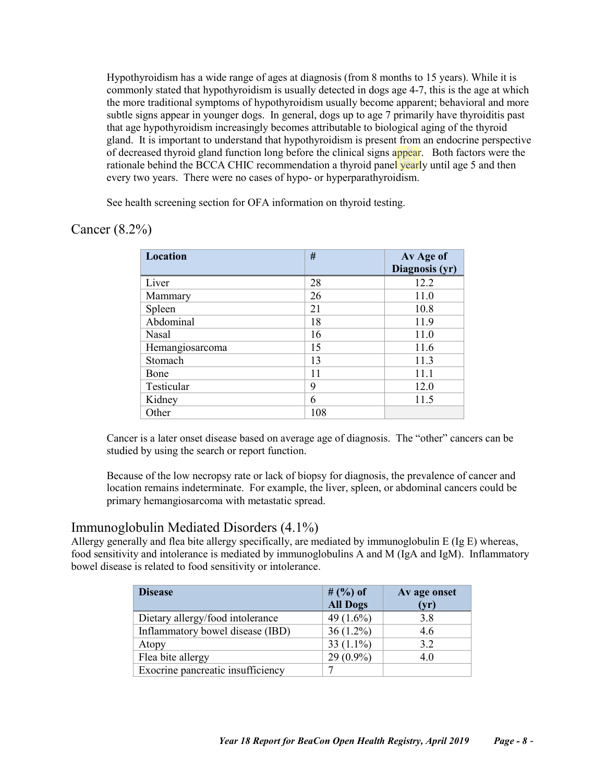Hypothyroidism has a wide range of ages at diagnosis (from 8 months to 15 years). While it is commonly stated that hypothyroidism is usually detected in dogs age 4-7, this is the age at which the more traditional symptoms of hypothyroidism usually become apparent; behavioral and more subtle signs appear in younger dogs. In general, dogs up to age 7 primarily have thyroiditis past that age hypothyroidism increasingly becomes attributable to biological aging of the thyroid gland. It is important to understand that hypothyroidism is present from an endocrine perspective of decreased thyroid gland function long before the clinical signs appear. Both factors were the rationale behind the BCCA CHIC recommendation a thyroid panel yearly until age 5 and then every two years. There were no cases of hypo- or hyperparathyroidism.

See health screening section for OFA information on thyroid testing.

## <span id="page-7-0"></span>Cancer (8.2%)

| Location        | #   | Av Age of      |
|-----------------|-----|----------------|
|                 |     | Diagnosis (yr) |
| Liver           | 28  | 12.2           |
| Mammary         | 26  | 11.0           |
| Spleen          | 21  | 10.8           |
| Abdominal       | 18  | 11.9           |
| Nasal           | 16  | 11.0           |
| Hemangiosarcoma | 15  | 11.6           |
| Stomach         | 13  | 11.3           |
| Bone            | 11  | 11.1           |
| Testicular      | 9   | 12.0           |
| Kidney          | 6   | 11.5           |
| Other           | 108 |                |

Cancer is a later onset disease based on average age of diagnosis. The "other" cancers can be studied by using the search or report function.

Because of the low necropsy rate or lack of biopsy for diagnosis, the prevalence of cancer and location remains indeterminate. For example, the liver, spleen, or abdominal cancers could be primary hemangiosarcoma with metastatic spread.

### <span id="page-7-1"></span>Immunoglobulin Mediated Disorders (4.1%)

Allergy generally and flea bite allergy specifically, are mediated by immunoglobulin E (Ig E) whereas, food sensitivity and intolerance is mediated by immunoglobulins A and M (IgA and IgM). Inflammatory bowel disease is related to food sensitivity or intolerance.

| <b>Disease</b>                    | # $(%)$ of<br><b>All Dogs</b> | Av age onset<br>(yr) |
|-----------------------------------|-------------------------------|----------------------|
| Dietary allergy/food intolerance  | 49 $(1.6\%)$                  | 3.8                  |
| Inflammatory bowel disease (IBD)  | $36(1.2\%)$                   | 4.6                  |
| Atopy                             | 33 $(1.1\%)$                  | 3.2                  |
| Flea bite allergy                 | $29(0.9\%)$                   | 4.0                  |
| Exocrine pancreatic insufficiency |                               |                      |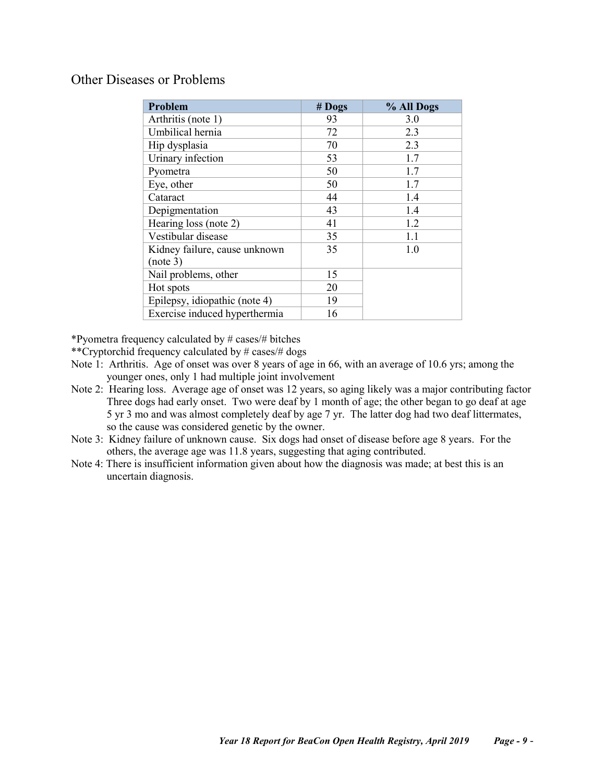## <span id="page-8-0"></span>Other Diseases or Problems

| Problem                       | # Dogs | % All Dogs |
|-------------------------------|--------|------------|
| Arthritis (note 1)            | 93     | 3.0        |
| Umbilical hernia              | 72     | 2.3        |
| Hip dysplasia                 | 70     | 2.3        |
| Urinary infection             | 53     | 1.7        |
| Pyometra                      | 50     | 1.7        |
| Eye, other                    | 50     | 1.7        |
| Cataract                      | 44     | 1.4        |
| Depigmentation                | 43     | 1.4        |
| Hearing loss (note 2)         | 41     | 1.2        |
| Vestibular disease            | 35     | 1.1        |
| Kidney failure, cause unknown | 35     | 1.0        |
| (note 3)                      |        |            |
| Nail problems, other          | 15     |            |
| Hot spots                     | 20     |            |
| Epilepsy, idiopathic (note 4) | 19     |            |
| Exercise induced hyperthermia | 16     |            |

\*Pyometra frequency calculated by # cases/# bitches

\*\*Cryptorchid frequency calculated by # cases/# dogs

- Note 1: Arthritis. Age of onset was over 8 years of age in 66, with an average of 10.6 yrs; among the younger ones, only 1 had multiple joint involvement
- Note 2: Hearing loss. Average age of onset was 12 years, so aging likely was a major contributing factor Three dogs had early onset. Two were deaf by 1 month of age; the other began to go deaf at age 5 yr 3 mo and was almost completely deaf by age 7 yr. The latter dog had two deaf littermates, so the cause was considered genetic by the owner.
- Note 3: Kidney failure of unknown cause. Six dogs had onset of disease before age 8 years. For the others, the average age was 11.8 years, suggesting that aging contributed.
- Note 4: There is insufficient information given about how the diagnosis was made; at best this is an uncertain diagnosis.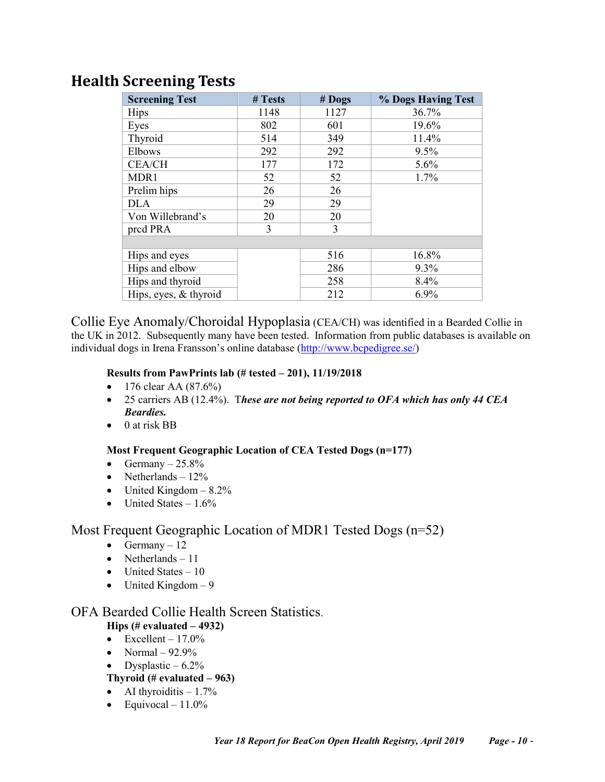# <span id="page-9-0"></span>**Health Screening Tests**

| <b>Screening Test</b> | # Tests | $#$ Dogs | % Dogs Having Test |
|-----------------------|---------|----------|--------------------|
| <b>Hips</b>           | 1148    | 1127     | 36.7%              |
| Eyes                  | 802     | 601      | 19.6%              |
| Thyroid               | 514     | 349      | 11.4%              |
| Elbows                | 292     | 292      | 9.5%               |
| <b>CEA/CH</b>         | 177     | 172      | 5.6%               |
| MDR1                  | 52      | 52       | 1.7%               |
| Prelim hips           | 26      | 26       |                    |
| <b>DLA</b>            | 29      | 29       |                    |
| Von Willebrand's      | 20      | 20       |                    |
| pred PRA              | 3       | 3        |                    |
|                       |         |          |                    |
| Hips and eyes         |         | 516      | 16.8%              |
| Hips and elbow        |         | 286      | 9.3%               |
| Hips and thyroid      |         | 258      | 8.4%               |
| Hips, eyes, & thyroid |         | 212      | 6.9%               |

<span id="page-9-1"></span>Collie Eye Anomaly/Choroidal Hypoplasia (CEA/CH) was identified in a Bearded Collie in the UK in 2012. Subsequently many have been tested. Information from public databases is available on individual dogs in Irena Fransson's online database [\(http://www.bcpedigree.se/\)](http://www.bcpedigree.se/)

#### <span id="page-9-2"></span>**Results from PawPrints lab (# tested – 201), 11/19/2018**

- 176 clear AA  $(87.6%)$
- 25 carriers AB (12.4%). T*hese are not being reported to OFA which has only 44 CEA Beardies.*
- 0 at risk BB

#### <span id="page-9-3"></span>**Most Frequent Geographic Location of CEA Tested Dogs (n=177)**

- Germany  $-25.8\%$
- Netherlands  $-12\%$
- United Kingdom  $-8.2\%$
- United States  $-1.6\%$

### <span id="page-9-4"></span>Most Frequent Geographic Location of MDR1 Tested Dogs (n=52)

- Germany  $-12$
- Netherlands  $-11$
- United States 10
- United Kingdom  $-9$

# <span id="page-9-6"></span><span id="page-9-5"></span>OFA Bearded Collie Health Screen Statistics.

# **Hips (# evaluated – 4932)**

- Excellent  $17.0\%$
- Normal  $-92.9\%$
- Dysplastic  $-6.2\%$

### <span id="page-9-7"></span>**Thyroid (# evaluated – 963)**

- AI thyroiditis  $-1.7\%$
- Equivocal  $11.0\%$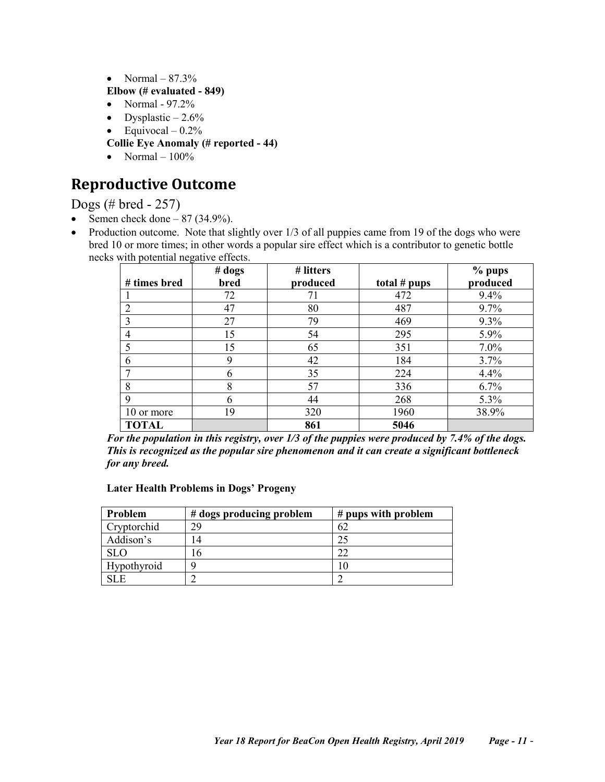• Normal –  $87.3\%$ 

### <span id="page-10-0"></span>**Elbow (# evaluated - 849)**

- Normal  $97.2\%$
- Dysplastic  $-2.6\%$
- Equivocal  $0.2\%$
- **Collie Eye Anomaly (# reported - 44)**
- Normal  $-100\%$

# <span id="page-10-1"></span>**Reproductive Outcome**

<span id="page-10-2"></span>Dogs (# bred - 257)

- Semen check done  $-87$  (34.9%).
- Production outcome. Note that slightly over 1/3 of all puppies came from 19 of the dogs who were bred 10 or more times; in other words a popular sire effect which is a contributor to genetic bottle necks with potential negative effects.

|              | # <b>dog</b> <sub>S</sub> | # litters |                | % pups   |
|--------------|---------------------------|-----------|----------------|----------|
| # times bred | bred                      | produced  | total $#$ pups | produced |
|              | 72                        |           | 472            | 9.4%     |
|              | 47                        | 80        | 487            | 9.7%     |
| 3            | 27                        | 79        | 469            | 9.3%     |
| 4            | 15                        | 54        | 295            | $5.9\%$  |
|              | 15                        | 65        | 351            | 7.0%     |
|              | 9                         | 42        | 184            | 3.7%     |
|              | 6                         | 35        | 224            | 4.4%     |
| 8            | 8                         | 57        | 336            | 6.7%     |
| Q            | 6                         | 44        | 268            | 5.3%     |
| 10 or more   | 19                        | 320       | 1960           | 38.9%    |
| <b>TOTAL</b> |                           | 861       | 5046           |          |

*For the population in this registry, over 1/3 of the puppies were produced by 7.4% of the dogs. This is recognized as the popular sire phenomenon and it can create a significant bottleneck for any breed.*

#### <span id="page-10-3"></span>**Later Health Problems in Dogs' Progeny**

| Problem     | # dogs producing problem | $#$ pups with problem |
|-------------|--------------------------|-----------------------|
| Cryptorchid | 29                       | 62                    |
| Addison's   | 14                       |                       |
| <b>SLO</b>  | 16                       |                       |
| Hypothyroid |                          | ، 0                   |
| SL E        |                          |                       |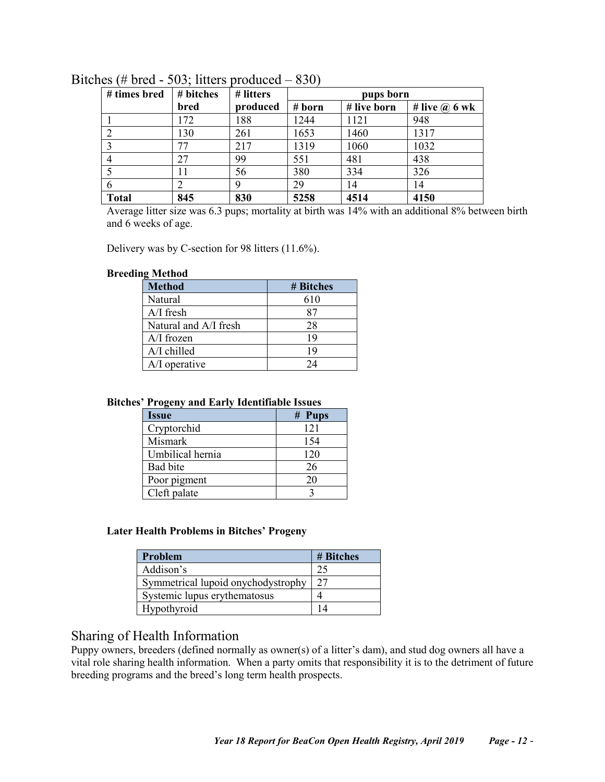| # times bred | # bitches | # litters | pups born |             |                      |
|--------------|-----------|-----------|-----------|-------------|----------------------|
|              | bred      | produced  | # born    | # live born | # live $\omega$ 6 wk |
|              | 172       | 188       | 1244      | 1121        | 948                  |
|              | 130       | 261       | 1653      | 1460        | 1317                 |
|              | 77        | 217       | 1319      | 1060        | 1032                 |
|              | 27        | 99        | 551       | 481         | 438                  |
|              | 11        | 56        | 380       | 334         | 326                  |
|              |           | 9         | 29        | 14          | 14                   |
| <b>Total</b> | 845       | 830       | 5258      | 4514        | 4150                 |

### <span id="page-11-0"></span>Bitches (# bred - 503; litters produced – 830)

Average litter size was 6.3 pups; mortality at birth was 14% with an additional 8% between birth and 6 weeks of age.

Delivery was by C-section for 98 litters (11.6%).

#### <span id="page-11-1"></span>**Breeding Method**

| <b>Method</b>         | # Bitches |
|-----------------------|-----------|
| Natural               | 610       |
| $A/I$ fresh           |           |
| Natural and A/I fresh | 28        |
| $A/I$ frozen          | 19        |
| A/I chilled           | 19        |
| A/I operative         | 24        |

#### <span id="page-11-2"></span>**Bitches' Progeny and Early Identifiable Issues**

| Issue            | $#$ Pups |
|------------------|----------|
| Cryptorchid      | 121      |
| Mismark          | 154      |
| Umbilical hernia | 120      |
| Bad bite         | 26       |
| Poor pigment     | 20       |
| Cleft palate     |          |

#### <span id="page-11-3"></span>**Later Health Problems in Bitches' Progeny**

| Problem                            | # Bitches |
|------------------------------------|-----------|
| Addison's                          |           |
| Symmetrical lupoid onychodystrophy | フフ        |
| Systemic lupus erythematosus       |           |
| Hypothyroid                        |           |

## <span id="page-11-4"></span>Sharing of Health Information

Puppy owners, breeders (defined normally as owner(s) of a litter's dam), and stud dog owners all have a vital role sharing health information. When a party omits that responsibility it is to the detriment of future breeding programs and the breed's long term health prospects.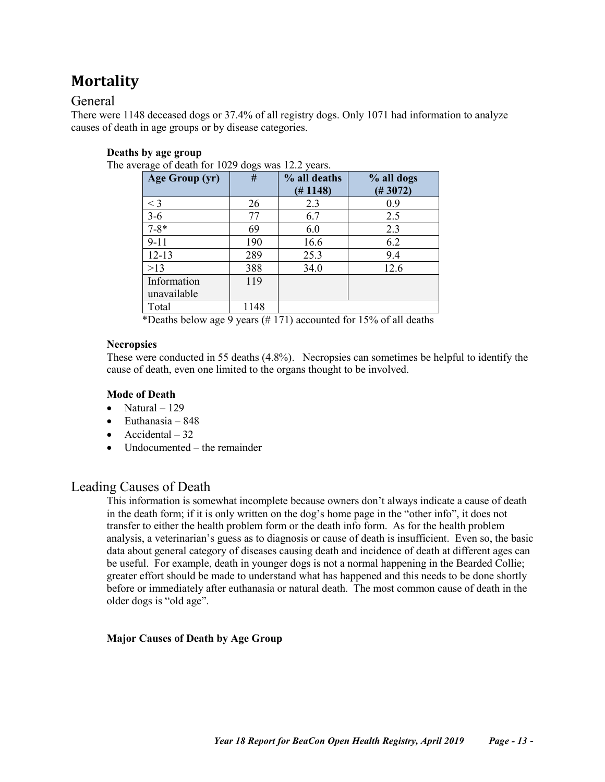# <span id="page-12-0"></span>**Mortality**

## <span id="page-12-1"></span>General

There were 1148 deceased dogs or 37.4% of all registry dogs. Only 1071 had information to analyze causes of death in age groups or by disease categories.

### <span id="page-12-2"></span>**Deaths by age group**

The average of death for 1029 dogs was 12.2 years.

| Age Group (yr)             | -- C<br># | % all deaths<br>(# 1148) | % all dogs<br>(# 3072) |
|----------------------------|-----------|--------------------------|------------------------|
| $<$ 3                      | 26        | 2.3                      | 0.9                    |
| $3 - 6$                    | 77        | 6.7                      | 2.5                    |
| $7 - 8*$                   | 69        | 6.0                      | 2.3                    |
| $9 - 11$                   | 190       | 16.6                     | 6.2                    |
| $12 - 13$                  | 289       | 25.3                     | 9.4                    |
| >13                        | 388       | 34.0                     | 12.6                   |
| Information<br>unavailable | 119       |                          |                        |
| Total                      | 1148      |                          |                        |

\*Deaths below age 9 years (# 171) accounted for 15% of all deaths

#### <span id="page-12-3"></span>**Necropsies**

These were conducted in 55 deaths (4.8%). Necropsies can sometimes be helpful to identify the cause of death, even one limited to the organs thought to be involved.

#### <span id="page-12-4"></span>**Mode of Death**

- Natural  $-129$
- Euthanasia  $848$
- Accidental  $-32$
- Undocumented the remainder

### <span id="page-12-5"></span>Leading Causes of Death

This information is somewhat incomplete because owners don't always indicate a cause of death in the death form; if it is only written on the dog's home page in the "other info", it does not transfer to either the health problem form or the death info form. As for the health problem analysis, a veterinarian's guess as to diagnosis or cause of death is insufficient. Even so, the basic data about general category of diseases causing death and incidence of death at different ages can be useful. For example, death in younger dogs is not a normal happening in the Bearded Collie; greater effort should be made to understand what has happened and this needs to be done shortly before or immediately after euthanasia or natural death. The most common cause of death in the older dogs is "old age".

#### <span id="page-12-6"></span>**Major Causes of Death by Age Group**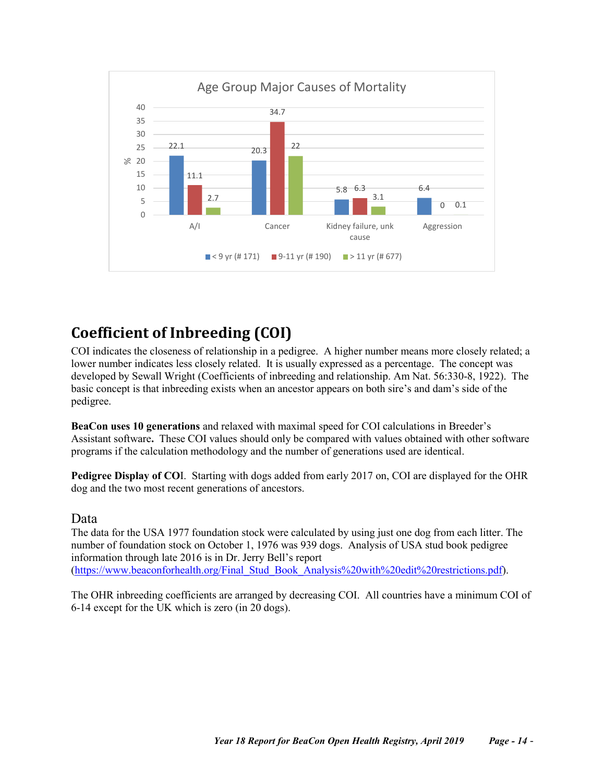

# <span id="page-13-0"></span>**Coefficient of Inbreeding (COI)**

COI indicates the closeness of relationship in a pedigree. A higher number means more closely related; a lower number indicates less closely related. It is usually expressed as a percentage. The concept was developed by Sewall Wright (Coefficients of inbreeding and relationship. Am Nat. 56:330-8, 1922). The basic concept is that inbreeding exists when an ancestor appears on both sire's and dam's side of the pedigree.

**BeaCon uses 10 generations** and relaxed with maximal speed for COI calculations in Breeder's Assistant software**.** These COI values should only be compared with values obtained with other software programs if the calculation methodology and the number of generations used are identical.

**Pedigree Display of CO**I. Starting with dogs added from early 2017 on, COI are displayed for the OHR dog and the two most recent generations of ancestors.

### <span id="page-13-1"></span>Data

The data for the USA 1977 foundation stock were calculated by using just one dog from each litter. The number of foundation stock on October 1, 1976 was 939 dogs. Analysis of USA stud book pedigree information through late 2016 is in Dr. Jerry Bell's report [\(https://www.beaconforhealth.org/Final\\_Stud\\_Book\\_Analysis%20with%20edit%20restrictions.pdf\)](https://www.beaconforhealth.org/Final_Stud_Book_Analysis%20with%20edit%20restrictions.pdf).

The OHR inbreeding coefficients are arranged by decreasing COI. All countries have a minimum COI of 6-14 except for the UK which is zero (in 20 dogs).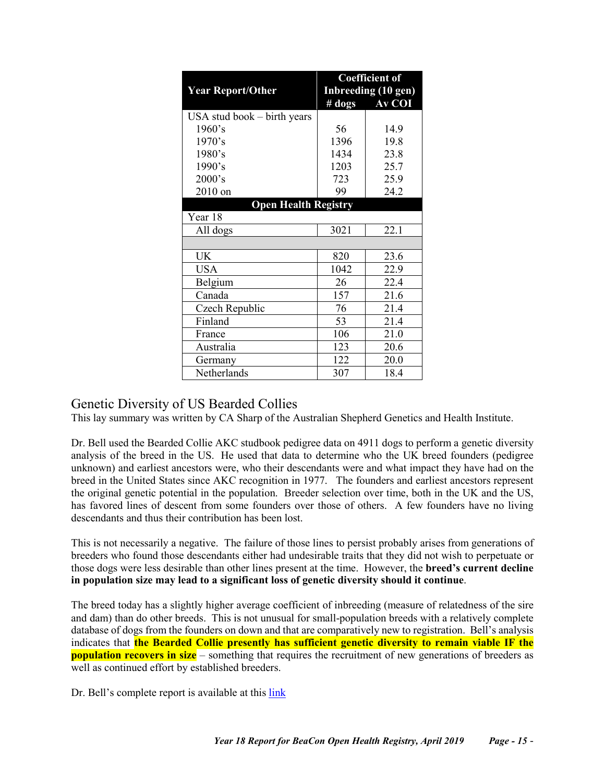|                               | <b>Coefficient of</b> |                     |  |  |
|-------------------------------|-----------------------|---------------------|--|--|
| <b>Year Report/Other</b>      |                       | Inbreeding (10 gen) |  |  |
|                               | $#$ dogs              | Av COI              |  |  |
| USA stud book $-$ birth years |                       |                     |  |  |
| 1960's                        | 56                    | 14.9                |  |  |
| 1970's                        | 1396                  | 19.8                |  |  |
| 1980's                        | 1434                  | 23.8                |  |  |
| 1990's                        | 1203                  | 25.7                |  |  |
| 2000's                        | 723                   | 25.9                |  |  |
| 2010 on                       | 99                    | 24.2                |  |  |
| <b>Open Health Registry</b>   |                       |                     |  |  |
| Year 18                       |                       |                     |  |  |
| All dogs                      | 3021                  | 22.1                |  |  |
|                               |                       |                     |  |  |
| UK                            | 820                   | 23.6                |  |  |
| <b>USA</b>                    | 1042                  | 22.9                |  |  |
| Belgium                       | 26                    | 22.4                |  |  |
| Canada                        | 157                   | 21.6                |  |  |
| Czech Republic                | 76                    | 21.4                |  |  |
| Finland                       | 53                    | 21.4                |  |  |
| France                        | 106                   | 21.0                |  |  |
| Australia                     | 123                   | 20.6                |  |  |
| Germany                       | 122                   | 20.0                |  |  |
| Netherlands                   | 307                   | 18.4                |  |  |

# <span id="page-14-0"></span>Genetic Diversity of US Bearded Collies

This lay summary was written by CA Sharp of the Australian Shepherd Genetics and Health Institute.

Dr. Bell used the Bearded Collie AKC studbook pedigree data on 4911 dogs to perform a genetic diversity analysis of the breed in the US. He used that data to determine who the UK breed founders (pedigree unknown) and earliest ancestors were, who their descendants were and what impact they have had on the breed in the United States since AKC recognition in 1977. The founders and earliest ancestors represent the original genetic potential in the population. Breeder selection over time, both in the UK and the US, has favored lines of descent from some founders over those of others. A few founders have no living descendants and thus their contribution has been lost.

This is not necessarily a negative. The failure of those lines to persist probably arises from generations of breeders who found those descendants either had undesirable traits that they did not wish to perpetuate or those dogs were less desirable than other lines present at the time. However, the **breed's current decline in population size may lead to a significant loss of genetic diversity should it continue**.

The breed today has a slightly higher average coefficient of inbreeding (measure of relatedness of the sire and dam) than do other breeds. This is not unusual for small-population breeds with a relatively complete database of dogs from the founders on down and that are comparatively new to registration. Bell's analysis indicates that **the Bearded Collie presently has sufficient genetic diversity to remain viable IF the population recovers in size** – something that requires the recruitment of new generations of breeders as well as continued effort by established breeders.

Dr. Bell's complete report is available at this [link](http://www.beaconforhealth.org/Final_Stud_Book_Analysis%20with%20edit%20restrictions.pdf)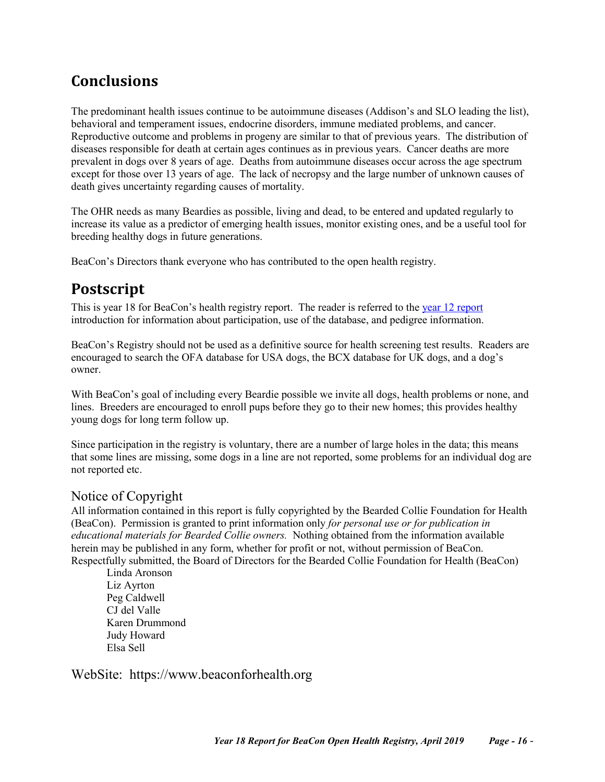# <span id="page-15-0"></span>**Conclusions**

The predominant health issues continue to be autoimmune diseases (Addison's and SLO leading the list), behavioral and temperament issues, endocrine disorders, immune mediated problems, and cancer. Reproductive outcome and problems in progeny are similar to that of previous years. The distribution of diseases responsible for death at certain ages continues as in previous years. Cancer deaths are more prevalent in dogs over 8 years of age. Deaths from autoimmune diseases occur across the age spectrum except for those over 13 years of age. The lack of necropsy and the large number of unknown causes of death gives uncertainty regarding causes of mortality.

The OHR needs as many Beardies as possible, living and dead, to be entered and updated regularly to increase its value as a predictor of emerging health issues, monitor existing ones, and be a useful tool for breeding healthy dogs in future generations.

<span id="page-15-1"></span>BeaCon's Directors thank everyone who has contributed to the open health registry.

# **Postscript**

This is year 18 for BeaCon's health registry report. The reader is referred to the [year 12 report](https://www.beaconforhealth.org/YR%2012%20report%20long%20version.pdf) introduction for information about participation, use of the database, and pedigree information.

BeaCon's Registry should not be used as a definitive source for health screening test results. Readers are encouraged to search the OFA database for USA dogs, the BCX database for UK dogs, and a dog's owner.

With BeaCon's goal of including every Beardie possible we invite all dogs, health problems or none, and lines. Breeders are encouraged to enroll pups before they go to their new homes; this provides healthy young dogs for long term follow up.

Since participation in the registry is voluntary, there are a number of large holes in the data; this means that some lines are missing, some dogs in a line are not reported, some problems for an individual dog are not reported etc.

# <span id="page-15-2"></span>Notice of Copyright

All information contained in this report is fully copyrighted by the Bearded Collie Foundation for Health (BeaCon). Permission is granted to print information only *for personal use or for publication in educational materials for Bearded Collie owners.* Nothing obtained from the information available herein may be published in any form, whether for profit or not, without permission of BeaCon. Respectfully submitted, the Board of Directors for the Bearded Collie Foundation for Health (BeaCon)

Linda Aronson Liz Ayrton Peg Caldwell CJ del Valle Karen Drummond Judy Howard Elsa Sell

<span id="page-15-3"></span>WebSite: https://www.beaconforhealth.org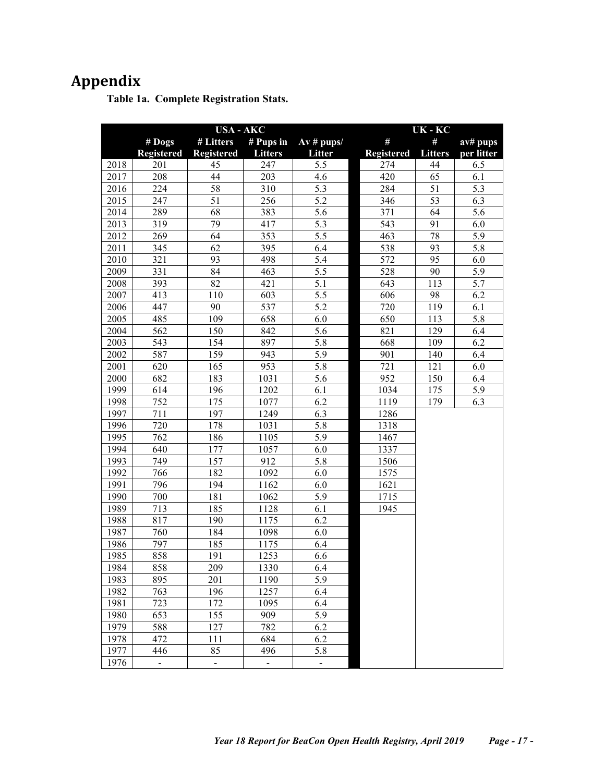# <span id="page-16-1"></span><span id="page-16-0"></span>**Appendix**

**Table 1a. Complete Registration Stats.**

|      |                   | <b>USA - AKC</b>         |                |                     | UK-KC             |                |            |
|------|-------------------|--------------------------|----------------|---------------------|-------------------|----------------|------------|
|      | $\#$ Dogs         | # Litters                | # Pups in      | $Av \# \text{pups}$ | #                 | #              | av# pups   |
|      | <b>Registered</b> | <b>Registered</b>        | <b>Litters</b> | Litter              | <b>Registered</b> | <b>Litters</b> | per litter |
| 2018 | 201               | 45                       | 247            | 5.5                 | 274               | 44             | 6.5        |
| 2017 | 208               | 44                       | 203            | 4.6                 | 420               | 65             | 6.1        |
| 2016 | 224               | 58                       | 310            | 5.3                 | 284               | 51             | 5.3        |
| 2015 | 247               | 51                       | 256            | 5.2                 | 346               | 53             | 6.3        |
| 2014 | 289               | 68                       | 383            | 5.6                 | 371               | 64             | 5.6        |
| 2013 | 319               | 79                       | 417            | 5.3                 | 543               | 91             | 6.0        |
| 2012 | 269               | 64                       | 353            | 5.5                 | 463               | 78             | 5.9        |
| 2011 | 345               | 62                       | 395            | 6.4                 | 538               | 93             | 5.8        |
| 2010 | 321               | 93                       | 498            | 5.4                 | 572               | 95             | 6.0        |
| 2009 | 331               | 84                       | 463            | 5.5                 | 528               | 90             | 5.9        |
| 2008 | 393               | 82                       | 421            | 5.1                 | 643               | 113            | 5.7        |
| 2007 | 413               | 110                      | 603            | 5.5                 | 606               | 98             | 6.2        |
| 2006 | 447               | 90                       | 537            | 5.2                 | 720               | 119            | 6.1        |
| 2005 | 485               | 109                      | 658            | 6.0                 | 650               | 113            | 5.8        |
| 2004 | 562               | 150                      | 842            | 5.6                 | 821               | 129            | 6.4        |
| 2003 | 543               | 154                      | 897            | 5.8                 | 668               | 109            | 6.2        |
| 2002 | 587               | 159                      | 943            | 5.9                 | 901               | 140            | 6.4        |
| 2001 | 620               | 165                      | 953            | 5.8                 | 721               | 121            | 6.0        |
| 2000 | 682               | 183                      | 1031           | 5.6                 | 952               | 150            | 6.4        |
| 1999 | 614               | 196                      | 1202           | 6.1                 | 1034              | 175            | 5.9        |
| 1998 | 752               | 175                      | 1077           | 6.2                 | 1119              | 179            | 6.3        |
| 1997 | 711               | 197                      | 1249           | 6.3                 | 1286              |                |            |
| 1996 | 720               | 178                      | 1031           | 5.8                 | 1318              |                |            |
| 1995 | 762               | 186                      | 1105           | 5.9                 | 1467              |                |            |
| 1994 | 640               | 177                      | 1057           | 6.0                 | 1337              |                |            |
| 1993 | 749               | 157                      | 912            | 5.8                 | 1506              |                |            |
| 1992 | 766               | 182                      | 1092           | 6.0                 | 1575              |                |            |
| 1991 | 796               | 194                      | 1162           | 6.0                 | 1621              |                |            |
| 1990 | 700               | 181                      | 1062           | 5.9                 | 1715              |                |            |
| 1989 | 713               | 185                      | 1128           | 6.1                 | 1945              |                |            |
| 1988 | 817               | 190                      | 1175           | 6.2                 |                   |                |            |
| 1987 | 760               | 184                      | 1098           | 6.0                 |                   |                |            |
| 1986 | 797               | 185                      | 1175           | 6.4                 |                   |                |            |
| 1985 | 858               | 191                      | 1253           | 6.6                 |                   |                |            |
| 1984 | 858               | 209                      | 1330           | 6.4                 |                   |                |            |
| 1983 | 895               | 201                      | 1190           | 5.9                 |                   |                |            |
| 1982 | 763               | 196                      | 1257           | 6.4                 |                   |                |            |
| 1981 | 723               | 172                      | 1095           | 6.4                 |                   |                |            |
| 1980 | 653               | 155                      | 909            | 5.9                 |                   |                |            |
| 1979 | 588               | 127                      | 782            | 6.2                 |                   |                |            |
| 1978 | 472               | 111                      | 684            | 6.2                 |                   |                |            |
| 1977 | 446               | 85                       | 496            | 5.8                 |                   |                |            |
| 1976 | $\blacksquare$    | $\overline{\phantom{0}}$ | $\blacksquare$ | $\blacksquare$      |                   |                |            |